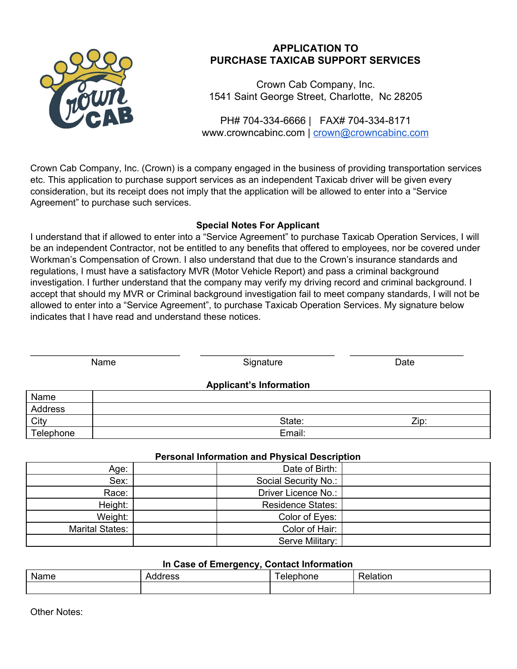

# **APPLICATION TO PURCHASE TAXICAB SUPPORT SERVICES**

Crown Cab Company, Inc. 1541 Saint George Street, Charlotte, Nc 28205

PH# 704-334-6666 | FAX# 704-334-8171 www.crowncabinc.com | [crown@crowncabinc.com](mailto:crown@crowncabinc.com)

Crown Cab Company, Inc. (Crown) is a company engaged in the business of providing transportation services etc. This application to purchase support services as an independent Taxicab driver will be given every consideration, but its receipt does not imply that the application will be allowed to enter into a "Service Agreement" to purchase such services.

## **Special Notes For Applicant**

I understand that if allowed to enter into a "Service Agreement" to purchase Taxicab Operation Services, I will be an independent Contractor, not be entitled to any benefits that offered to employees, nor be covered under Workman's Compensation of Crown. I also understand that due to the Crown's insurance standards and regulations, I must have a satisfactory MVR (Motor Vehicle Report) and pass a criminal background investigation. I further understand that the company may verify my driving record and criminal background. I accept that should my MVR or Criminal background investigation fail to meet company standards, I will not be allowed to enter into a "Service Agreement", to purchase Taxicab Operation Services. My signature below indicates that I have read and understand these notices.

| Name      |  | Signature                      | Date |
|-----------|--|--------------------------------|------|
|           |  | <b>Applicant's Information</b> |      |
| Name      |  |                                |      |
| Address   |  |                                |      |
| City      |  | State:                         | Zip: |
| Telephone |  | Email:                         |      |

## **Personal Information and Physical Description**

| Age:                   | Date of Birth:           |  |
|------------------------|--------------------------|--|
| Sex:                   | Social Security No.:     |  |
| Race:                  | Driver Licence No.:      |  |
| Height:                | <b>Residence States:</b> |  |
| Weight:                | Color of Eyes:           |  |
| <b>Marital States:</b> | Color of Hair:           |  |
|                        | Serve Military:          |  |

#### **In Case of Emergency, Contact Information**

| Name | . | - |
|------|---|---|
|      |   |   |

Other Notes: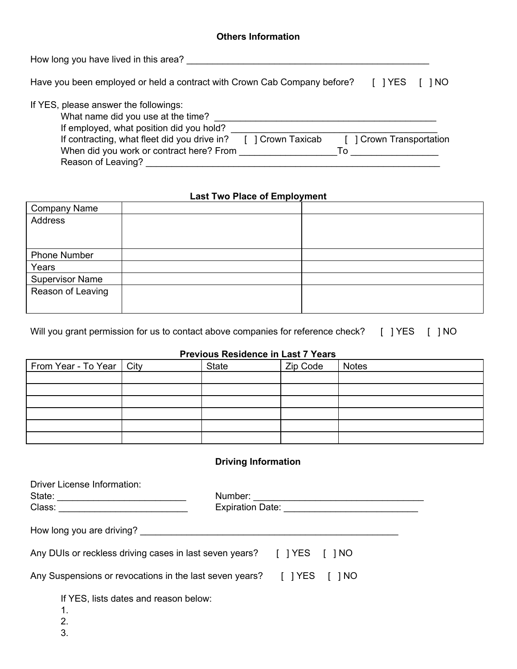### **Others Information**

| How long you have lived in this area?                                                                                                                                                                                                                                                        |
|----------------------------------------------------------------------------------------------------------------------------------------------------------------------------------------------------------------------------------------------------------------------------------------------|
| Have you been employed or held a contract with Crown Cab Company before?<br>I IYES<br>1 NO                                                                                                                                                                                                   |
| If YES, please answer the followings:<br>What name did you use at the time?<br>If employed, what position did you hold?<br>If contracting, what fleet did you drive in?<br>] Crown Transportation<br>] Crown Taxicab<br>When did you work or contract here? From<br>To<br>Reason of Leaving? |

# **Last Two Place of Employment**

| <b>Company Name</b>    |  |
|------------------------|--|
| Address                |  |
|                        |  |
|                        |  |
| <b>Phone Number</b>    |  |
| Years                  |  |
| <b>Supervisor Name</b> |  |
| Reason of Leaving      |  |
|                        |  |
|                        |  |

Will you grant permission for us to contact above companies for reference check? [ ] YES [ ] NO

## **Previous Residence in Last 7 Years**

| From Year - To Year   City | <b>State</b> | Zip Code | Notes |
|----------------------------|--------------|----------|-------|
|                            |              |          |       |
|                            |              |          |       |
|                            |              |          |       |
|                            |              |          |       |
|                            |              |          |       |
|                            |              |          |       |

# **Driving Information**

| <b>Driver License Information:</b><br>Number:                          | Expiration Date: National Property of the Contract of the Contract of the Contract of the Contract of the Contract of the Contract of the Contract of the Contract of the Contract of the Contract of the Contract of the Cont |
|------------------------------------------------------------------------|--------------------------------------------------------------------------------------------------------------------------------------------------------------------------------------------------------------------------------|
| How long you are driving?                                              |                                                                                                                                                                                                                                |
| Any DUIs or reckless driving cases in last seven years? [] YES [] NO   |                                                                                                                                                                                                                                |
| Any Suspensions or revocations in the last seven years? [ ] YES [ ] NO |                                                                                                                                                                                                                                |
| If YES, lists dates and reason below:<br>$\mathbf 1$ .                 |                                                                                                                                                                                                                                |

- 2.
- 3.